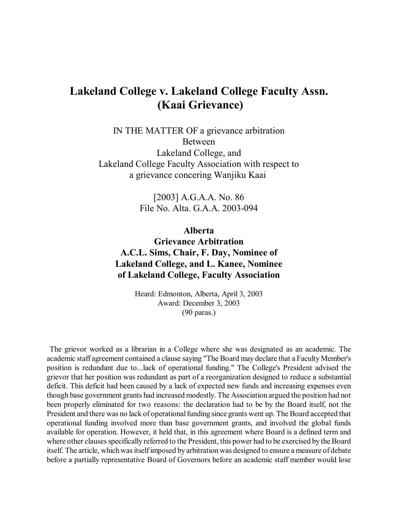# **Lakeland College v. Lakeland College Faculty Assn. (Kaai Grievance)**

IN THE MATTER OF a grievance arbitration Between Lakeland College, and Lakeland College Faculty Association with respect to a grievance concering Wanjiku Kaai

> [2003] A.G.A.A. No. 86 File No. Alta. G.A.A. 2003-094

> > **Alberta**

# **Grievance Arbitration A.C.L. Sims, Chair, F. Day, Nominee of Lakeland College, and L. Kanee, Nominee of Lakeland College, Faculty Association**

Heard: Edmonton, Alberta, April 3, 2003 Award: December 3, 2003 (90 paras.)

 The grievor worked as a librarian in a College where she was designated as an academic. The academic staff agreement contained a clause saying "The Board may declare that a Faculty Member's position is redundant due to...lack of operational funding." The College's President advised the grievor that her position was redundant as part of a reorganization designed to reduce a substantial deficit. This deficit had been caused by a lack of expected new funds and increasing expenses even though base government grants had increased modestly. The Association argued the position had not been properly eliminated for two reasons: the declaration had to be by the Board itself, not the President and there was no lack of operational funding since grants went up. The Board accepted that operational funding involved more than base government grants, and involved the global funds available for operation. However, it held that, in this agreement where Board is a defined term and where other clauses specifically referred to the President, this power had to be exercised by the Board itself. The article, which was itself imposed by arbitration was designed to ensure a measure of debate before a partially representative Board of Governors before an academic staff member would lose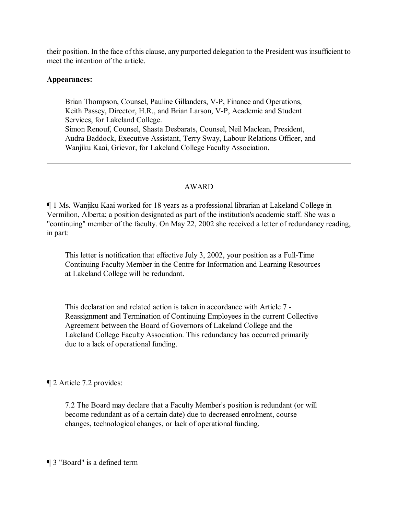their position. In the face of this clause, any purported delegation to the President was insufficient to meet the intention of the article.

#### **Appearances:**

Brian Thompson, Counsel, Pauline Gillanders, V-P, Finance and Operations, Keith Passey, Director, H.R., and Brian Larson, V-P, Academic and Student Services, for Lakeland College. Simon Renouf, Counsel, Shasta Desbarats, Counsel, Neil Maclean, President, Audra Baddock, Executive Assistant, Terry Sway, Labour Relations Officer, and Wanjiku Kaai, Grievor, for Lakeland College Faculty Association.

### AWARD

**¶** 1 Ms. Wanjiku Kaai worked for 18 years as a professional librarian at Lakeland College in Vermilion, Alberta; a position designated as part of the institution's academic staff. She was a "continuing" member of the faculty. On May 22, 2002 she received a letter of redundancy reading, in part:

This letter is notification that effective July 3, 2002, your position as a Full-Time Continuing Faculty Member in the Centre for Information and Learning Resources at Lakeland College will be redundant.

This declaration and related action is taken in accordance with Article 7 - Reassignment and Termination of Continuing Employees in the current Collective Agreement between the Board of Governors of Lakeland College and the Lakeland College Faculty Association. This redundancy has occurred primarily due to a lack of operational funding.

**¶** 2 Article 7.2 provides:

7.2 The Board may declare that a Faculty Member's position is redundant (or will become redundant as of a certain date) due to decreased enrolment, course changes, technological changes, or lack of operational funding.

**¶** 3 "Board" is a defined term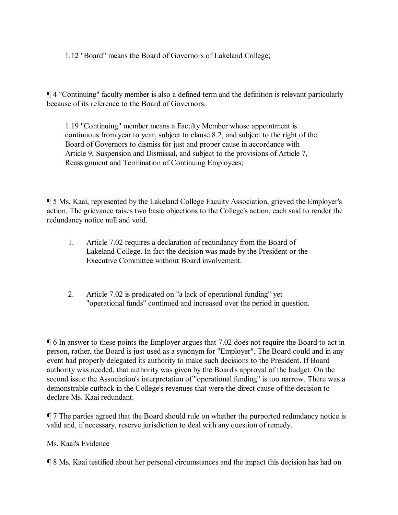1.12 "Board" means the Board of Governors of Lakeland College;

**¶** 4 "Continuing" faculty member is also a defined term and the definition is relevant particularly because of its reference to the Board of Governors.

1.19 "Continuing" member means a Faculty Member whose appointment is continuous from year to year, subject to clause 8.2, and subject to the right of the Board of Governors to dismiss for just and proper cause in accordance with Article 9, Suspension and Dismissal, and subject to the provisions of Article 7, Reassignment and Termination of Continuing Employees;

**¶** 5 Ms. Kaai, represented by the Lakeland College Faculty Association, grieved the Employer's action. The grievance raises two basic objections to the College's action, each said to render the redundancy notice null and void.

- 1. Article 7.02 requires a declaration of redundancy from the Board of Lakeland College. In fact the decision was made by the President or the Executive Committee without Board involvement.
- 2. Article 7.02 is predicated on "a lack of operational funding" yet "operational funds" continued and increased over the period in question.

**¶** 6 In answer to these points the Employer argues that 7.02 does not require the Board to act in person, rather, the Board is just used as a synonym for "Employer". The Board could and in any event had properly delegated its authority to make such decisions to the President. If Board authority was needed, that authority was given by the Board's approval of the budget. On the second issue the Association's interpretation of "operational funding" is too narrow. There was a demonstrable cutback in the College's revenues that were the direct cause of the decision to declare Ms. Kaai redundant.

**¶** 7 The parties agreed that the Board should rule on whether the purported redundancy notice is valid and, if necessary, reserve jurisdiction to deal with any question of remedy.

## Ms. Kaai's Evidence

**¶** 8 Ms. Kaai testified about her personal circumstances and the impact this decision has had on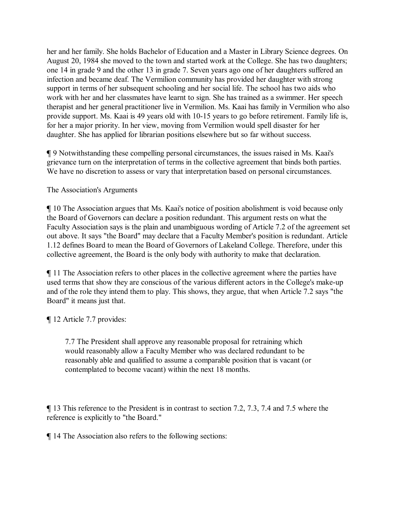her and her family. She holds Bachelor of Education and a Master in Library Science degrees. On August 20, 1984 she moved to the town and started work at the College. She has two daughters; one 14 in grade 9 and the other 13 in grade 7. Seven years ago one of her daughters suffered an infection and became deaf. The Vermilion community has provided her daughter with strong support in terms of her subsequent schooling and her social life. The school has two aids who work with her and her classmates have learnt to sign. She has trained as a swimmer. Her speech therapist and her general practitioner live in Vermilion. Ms. Kaai has family in Vermilion who also provide support. Ms. Kaai is 49 years old with 10-15 years to go before retirement. Family life is, for her a major priority. In her view, moving from Vermilion would spell disaster for her daughter. She has applied for librarian positions elsewhere but so far without success.

**¶** 9 Notwithstanding these compelling personal circumstances, the issues raised in Ms. Kaai's grievance turn on the interpretation of terms in the collective agreement that binds both parties. We have no discretion to assess or vary that interpretation based on personal circumstances.

#### The Association's Arguments

**¶** 10 The Association argues that Ms. Kaai's notice of position abolishment is void because only the Board of Governors can declare a position redundant. This argument rests on what the Faculty Association says is the plain and unambiguous wording of Article 7.2 of the agreement set out above. It says "the Board" may declare that a Faculty Member's position is redundant. Article 1.12 defines Board to mean the Board of Governors of Lakeland College. Therefore, under this collective agreement, the Board is the only body with authority to make that declaration.

**¶** 11 The Association refers to other places in the collective agreement where the parties have used terms that show they are conscious of the various different actors in the College's make-up and of the role they intend them to play. This shows, they argue, that when Article 7.2 says "the Board" it means just that.

**¶** 12 Article 7.7 provides:

7.7 The President shall approve any reasonable proposal for retraining which would reasonably allow a Faculty Member who was declared redundant to be reasonably able and qualified to assume a comparable position that is vacant (or contemplated to become vacant) within the next 18 months.

**¶** 13 This reference to the President is in contrast to section 7.2, 7.3, 7.4 and 7.5 where the reference is explicitly to "the Board."

**¶** 14 The Association also refers to the following sections: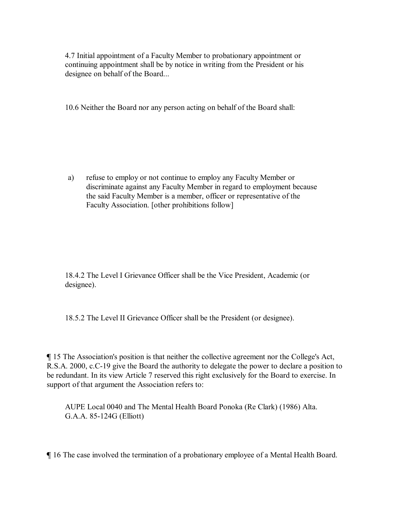4.7 Initial appointment of a Faculty Member to probationary appointment or continuing appointment shall be by notice in writing from the President or his designee on behalf of the Board...

10.6 Neither the Board nor any person acting on behalf of the Board shall:

a) refuse to employ or not continue to employ any Faculty Member or discriminate against any Faculty Member in regard to employment because the said Faculty Member is a member, officer or representative of the Faculty Association. [other prohibitions follow]

18.4.2 The Level I Grievance Officer shall be the Vice President, Academic (or designee).

18.5.2 The Level II Grievance Officer shall be the President (or designee).

**¶** 15 The Association's position is that neither the collective agreement nor the College's Act, R.S.A. 2000, c.C-19 give the Board the authority to delegate the power to declare a position to be redundant. In its view Article 7 reserved this right exclusively for the Board to exercise. In support of that argument the Association refers to:

AUPE Local 0040 and The Mental Health Board Ponoka (Re Clark) (1986) Alta. G.A.A. 85-124G (Elliott)

**¶** 16 The case involved the termination of a probationary employee of a Mental Health Board.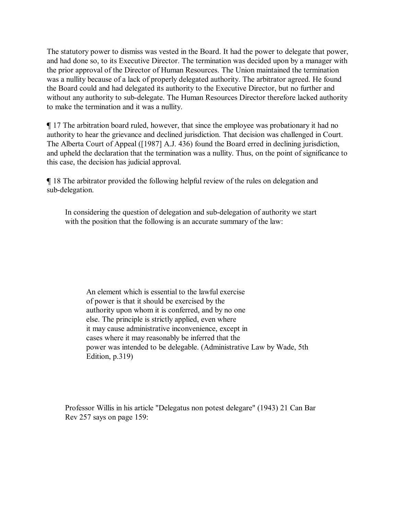The statutory power to dismiss was vested in the Board. It had the power to delegate that power, and had done so, to its Executive Director. The termination was decided upon by a manager with the prior approval of the Director of Human Resources. The Union maintained the termination was a nullity because of a lack of properly delegated authority. The arbitrator agreed. He found the Board could and had delegated its authority to the Executive Director, but no further and without any authority to sub-delegate. The Human Resources Director therefore lacked authority to make the termination and it was a nullity.

**¶** 17 The arbitration board ruled, however, that since the employee was probationary it had no authority to hear the grievance and declined jurisdiction. That decision was challenged in Court. The Alberta Court of Appeal ([1987] A.J. 436) found the Board erred in declining jurisdiction, and upheld the declaration that the termination was a nullity. Thus, on the point of significance to this case, the decision has judicial approval.

**¶** 18 The arbitrator provided the following helpful review of the rules on delegation and sub-delegation.

In considering the question of delegation and sub-delegation of authority we start with the position that the following is an accurate summary of the law:

An element which is essential to the lawful exercise of power is that it should be exercised by the authority upon whom it is conferred, and by no one else. The principle is strictly applied, even where it may cause administrative inconvenience, except in cases where it may reasonably be inferred that the power was intended to be delegable. (Administrative Law by Wade, 5th Edition, p.319)

Professor Willis in his article "Delegatus non potest delegare" (1943) 21 Can Bar Rev 257 says on page 159: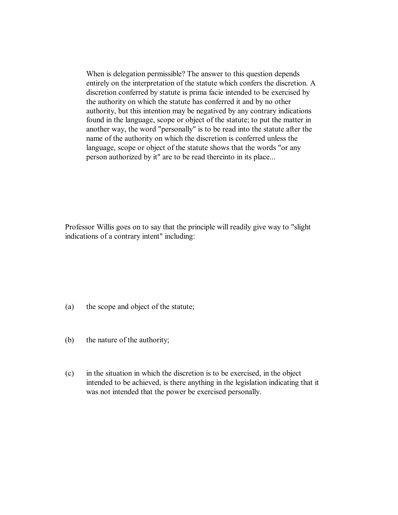When is delegation permissible? The answer to this question depends entirely on the interpretation of the statute which confers the discretion. A discretion conferred by statute is prima facie intended to be exercised by the authority on which the statute has conferred it and by no other authority, but this intention may be negatived by any contrary indications found in the language, scope or object of the statute; to put the matter in another way, the word "personally" is to be read into the statute after the name of the authority on which the discretion is conferred unless the language, scope or object of the statute shows that the words "or any person authorized by it" are to be read thereinto in its place...

Professor Willis goes on to say that the principle will readily give way to "slight indications of a contrary intent" including:

- (a) the scope and object of the statute;
- (b) the nature of the authority;
- (c) in the situation in which the discretion is to be exercised, in the object intended to be achieved, is there anything in the legislation indicating that it was not intended that the power be exercised personally.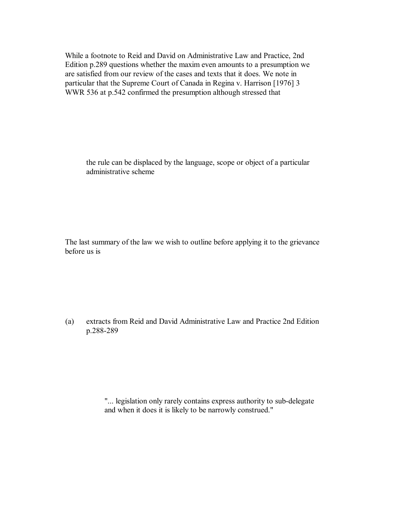While a footnote to Reid and David on Administrative Law and Practice, 2nd Edition p.289 questions whether the maxim even amounts to a presumption we are satisfied from our review of the cases and texts that it does. We note in particular that the Supreme Court of Canada in Regina v. Harrison [1976] 3 WWR 536 at p.542 confirmed the presumption although stressed that

the rule can be displaced by the language, scope or object of a particular administrative scheme

The last summary of the law we wish to outline before applying it to the grievance before us is

(a) extracts from Reid and David Administrative Law and Practice 2nd Edition p.288-289

> "... legislation only rarely contains express authority to sub-delegate and when it does it is likely to be narrowly construed."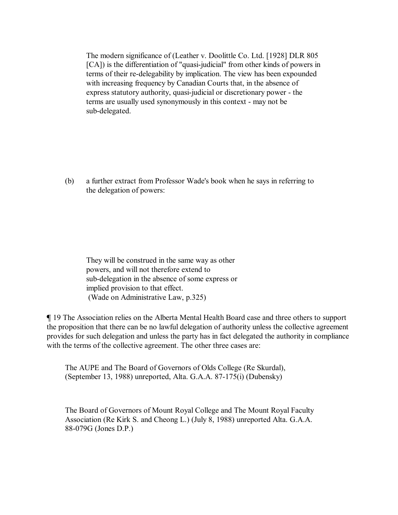The modern significance of (Leather v. Doolittle Co. Ltd. [1928] DLR 805 [CA]) is the differentiation of "quasi-judicial" from other kinds of powers in terms of their re-delegability by implication. The view has been expounded with increasing frequency by Canadian Courts that, in the absence of express statutory authority, quasi-judicial or discretionary power - the terms are usually used synonymously in this context - may not be sub-delegated.

(b) a further extract from Professor Wade's book when he says in referring to the delegation of powers:

They will be construed in the same way as other powers, and will not therefore extend to sub-delegation in the absence of some express or implied provision to that effect. (Wade on Administrative Law, p.325)

**¶** 19 The Association relies on the Alberta Mental Health Board case and three others to support the proposition that there can be no lawful delegation of authority unless the collective agreement provides for such delegation and unless the party has in fact delegated the authority in compliance with the terms of the collective agreement. The other three cases are:

The AUPE and The Board of Governors of Olds College (Re Skurdal), (September 13, 1988) unreported, Alta. G.A.A. 87-175(i) (Dubensky)

The Board of Governors of Mount Royal College and The Mount Royal Faculty Association (Re Kirk S. and Cheong L.) (July 8, 1988) unreported Alta. G.A.A. 88-079G (Jones D.P.)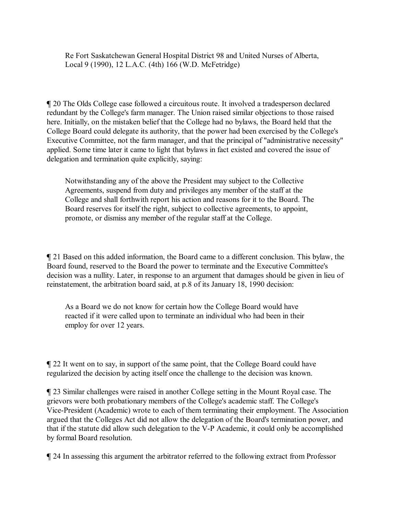Re Fort Saskatchewan General Hospital District 98 and United Nurses of Alberta, Local 9 (1990), 12 L.A.C. (4th) 166 (W.D. McFetridge)

**¶** 20 The Olds College case followed a circuitous route. It involved a tradesperson declared redundant by the College's farm manager. The Union raised similar objections to those raised here. Initially, on the mistaken belief that the College had no bylaws, the Board held that the College Board could delegate its authority, that the power had been exercised by the College's Executive Committee, not the farm manager, and that the principal of "administrative necessity" applied. Some time later it came to light that bylaws in fact existed and covered the issue of delegation and termination quite explicitly, saying:

Notwithstanding any of the above the President may subject to the Collective Agreements, suspend from duty and privileges any member of the staff at the College and shall forthwith report his action and reasons for it to the Board. The Board reserves for itself the right, subject to collective agreements, to appoint, promote, or dismiss any member of the regular staff at the College.

**¶** 21 Based on this added information, the Board came to a different conclusion. This bylaw, the Board found, reserved to the Board the power to terminate and the Executive Committee's decision was a nullity. Later, in response to an argument that damages should be given in lieu of reinstatement, the arbitration board said, at p.8 of its January 18, 1990 decision:

As a Board we do not know for certain how the College Board would have reacted if it were called upon to terminate an individual who had been in their employ for over 12 years.

**¶** 22 It went on to say, in support of the same point, that the College Board could have regularized the decision by acting itself once the challenge to the decision was known.

**¶** 23 Similar challenges were raised in another College setting in the Mount Royal case. The grievors were both probationary members of the College's academic staff. The College's Vice-President (Academic) wrote to each of them terminating their employment. The Association argued that the Colleges Act did not allow the delegation of the Board's termination power, and that if the statute did allow such delegation to the V-P Academic, it could only be accomplished by formal Board resolution.

**¶** 24 In assessing this argument the arbitrator referred to the following extract from Professor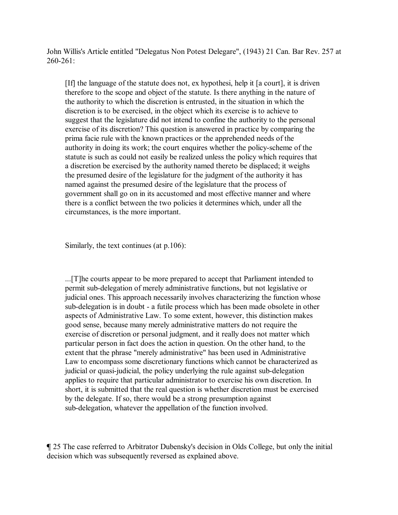John Willis's Article entitled "Delegatus Non Potest Delegare", (1943) 21 Can. Bar Rev. 257 at 260-261:

[If] the language of the statute does not, ex hypothesi, help it [a court], it is driven therefore to the scope and object of the statute. Is there anything in the nature of the authority to which the discretion is entrusted, in the situation in which the discretion is to be exercised, in the object which its exercise is to achieve to suggest that the legislature did not intend to confine the authority to the personal exercise of its discretion? This question is answered in practice by comparing the prima facie rule with the known practices or the apprehended needs of the authority in doing its work; the court enquires whether the policy-scheme of the statute is such as could not easily be realized unless the policy which requires that a discretion be exercised by the authority named thereto be displaced; it weighs the presumed desire of the legislature for the judgment of the authority it has named against the presumed desire of the legislature that the process of government shall go on in its accustomed and most effective manner and where there is a conflict between the two policies it determines which, under all the circumstances, is the more important.

Similarly, the text continues (at p.106):

...[T]he courts appear to be more prepared to accept that Parliament intended to permit sub-delegation of merely administrative functions, but not legislative or judicial ones. This approach necessarily involves characterizing the function whose sub-delegation is in doubt - a futile process which has been made obsolete in other aspects of Administrative Law. To some extent, however, this distinction makes good sense, because many merely administrative matters do not require the exercise of discretion or personal judgment, and it really does not matter which particular person in fact does the action in question. On the other hand, to the extent that the phrase "merely administrative" has been used in Administrative Law to encompass some discretionary functions which cannot be characterized as judicial or quasi-judicial, the policy underlying the rule against sub-delegation applies to require that particular administrator to exercise his own discretion. In short, it is submitted that the real question is whether discretion must be exercised by the delegate. If so, there would be a strong presumption against sub-delegation, whatever the appellation of the function involved.

**¶** 25 The case referred to Arbitrator Dubensky's decision in Olds College, but only the initial decision which was subsequently reversed as explained above.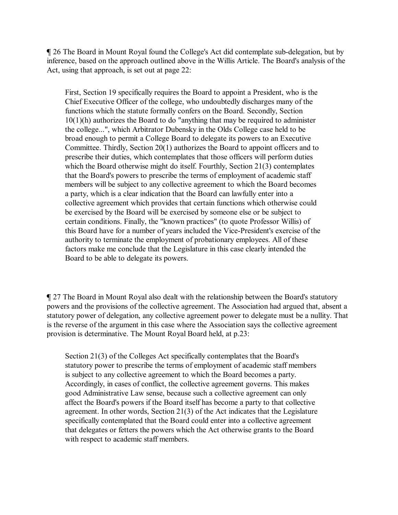**¶** 26 The Board in Mount Royal found the College's Act did contemplate sub-delegation, but by inference, based on the approach outlined above in the Willis Article. The Board's analysis of the Act, using that approach, is set out at page 22:

First, Section 19 specifically requires the Board to appoint a President, who is the Chief Executive Officer of the college, who undoubtedly discharges many of the functions which the statute formally confers on the Board. Secondly, Section 10(1)(h) authorizes the Board to do "anything that may be required to administer the college...", which Arbitrator Dubensky in the Olds College case held to be broad enough to permit a College Board to delegate its powers to an Executive Committee. Thirdly, Section 20(1) authorizes the Board to appoint officers and to prescribe their duties, which contemplates that those officers will perform duties which the Board otherwise might do itself. Fourthly, Section 21(3) contemplates that the Board's powers to prescribe the terms of employment of academic staff members will be subject to any collective agreement to which the Board becomes a party, which is a clear indication that the Board can lawfully enter into a collective agreement which provides that certain functions which otherwise could be exercised by the Board will be exercised by someone else or be subject to certain conditions. Finally, the "known practices" (to quote Professor Willis) of this Board have for a number of years included the Vice-President's exercise of the authority to terminate the employment of probationary employees. All of these factors make me conclude that the Legislature in this case clearly intended the Board to be able to delegate its powers.

**¶** 27 The Board in Mount Royal also dealt with the relationship between the Board's statutory powers and the provisions of the collective agreement. The Association had argued that, absent a statutory power of delegation, any collective agreement power to delegate must be a nullity. That is the reverse of the argument in this case where the Association says the collective agreement provision is determinative. The Mount Royal Board held, at p.23:

Section 21(3) of the Colleges Act specifically contemplates that the Board's statutory power to prescribe the terms of employment of academic staff members is subject to any collective agreement to which the Board becomes a party. Accordingly, in cases of conflict, the collective agreement governs. This makes good Administrative Law sense, because such a collective agreement can only affect the Board's powers if the Board itself has become a party to that collective agreement. In other words, Section 21(3) of the Act indicates that the Legislature specifically contemplated that the Board could enter into a collective agreement that delegates or fetters the powers which the Act otherwise grants to the Board with respect to academic staff members.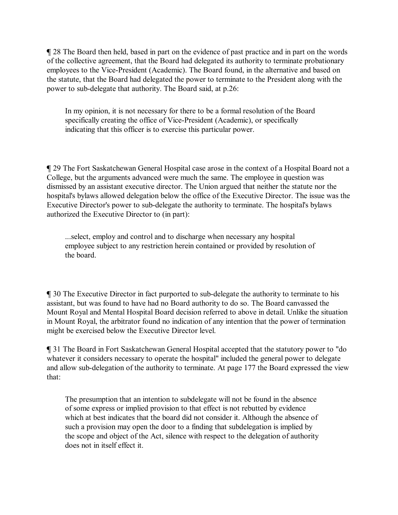**¶** 28 The Board then held, based in part on the evidence of past practice and in part on the words of the collective agreement, that the Board had delegated its authority to terminate probationary employees to the Vice-President (Academic). The Board found, in the alternative and based on the statute, that the Board had delegated the power to terminate to the President along with the power to sub-delegate that authority. The Board said, at p.26:

In my opinion, it is not necessary for there to be a formal resolution of the Board specifically creating the office of Vice-President (Academic), or specifically indicating that this officer is to exercise this particular power.

**¶** 29 The Fort Saskatchewan General Hospital case arose in the context of a Hospital Board not a College, but the arguments advanced were much the same. The employee in question was dismissed by an assistant executive director. The Union argued that neither the statute nor the hospital's bylaws allowed delegation below the office of the Executive Director. The issue was the Executive Director's power to sub-delegate the authority to terminate. The hospital's bylaws authorized the Executive Director to (in part):

...select, employ and control and to discharge when necessary any hospital employee subject to any restriction herein contained or provided by resolution of the board.

**¶** 30 The Executive Director in fact purported to sub-delegate the authority to terminate to his assistant, but was found to have had no Board authority to do so. The Board canvassed the Mount Royal and Mental Hospital Board decision referred to above in detail. Unlike the situation in Mount Royal, the arbitrator found no indication of any intention that the power of termination might be exercised below the Executive Director level.

**¶** 31 The Board in Fort Saskatchewan General Hospital accepted that the statutory power to "do whatever it considers necessary to operate the hospital" included the general power to delegate and allow sub-delegation of the authority to terminate. At page 177 the Board expressed the view that:

The presumption that an intention to subdelegate will not be found in the absence of some express or implied provision to that effect is not rebutted by evidence which at best indicates that the board did not consider it. Although the absence of such a provision may open the door to a finding that subdelegation is implied by the scope and object of the Act, silence with respect to the delegation of authority does not in itself effect it.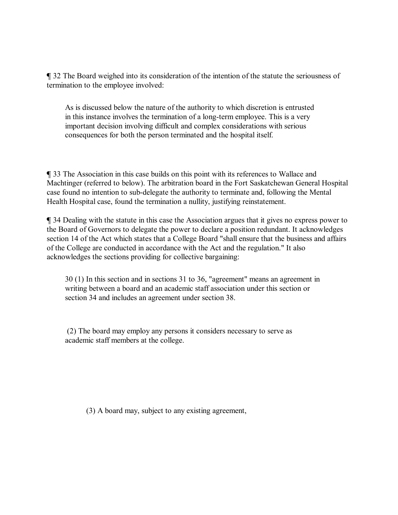**¶** 32 The Board weighed into its consideration of the intention of the statute the seriousness of termination to the employee involved:

As is discussed below the nature of the authority to which discretion is entrusted in this instance involves the termination of a long-term employee. This is a very important decision involving difficult and complex considerations with serious consequences for both the person terminated and the hospital itself.

**¶** 33 The Association in this case builds on this point with its references to Wallace and Machtinger (referred to below). The arbitration board in the Fort Saskatchewan General Hospital case found no intention to sub-delegate the authority to terminate and, following the Mental Health Hospital case, found the termination a nullity, justifying reinstatement.

**¶** 34 Dealing with the statute in this case the Association argues that it gives no express power to the Board of Governors to delegate the power to declare a position redundant. It acknowledges section 14 of the Act which states that a College Board "shall ensure that the business and affairs of the College are conducted in accordance with the Act and the regulation." It also acknowledges the sections providing for collective bargaining:

30 (1) In this section and in sections 31 to 36, "agreement" means an agreement in writing between a board and an academic staff association under this section or section 34 and includes an agreement under section 38.

 (2) The board may employ any persons it considers necessary to serve as academic staff members at the college.

(3) A board may, subject to any existing agreement,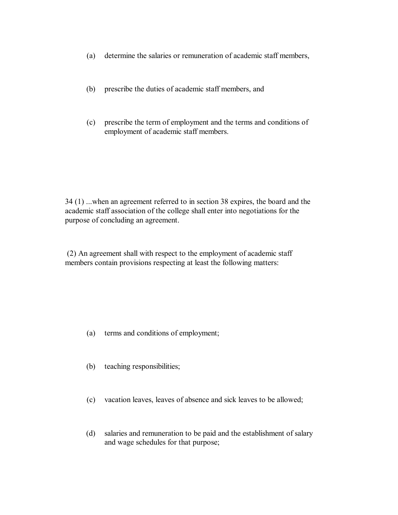- (a) determine the salaries or remuneration of academic staff members,
- (b) prescribe the duties of academic staff members, and
- (c) prescribe the term of employment and the terms and conditions of employment of academic staff members.

34 (1) ...when an agreement referred to in section 38 expires, the board and the academic staff association of the college shall enter into negotiations for the purpose of concluding an agreement.

 (2) An agreement shall with respect to the employment of academic staff members contain provisions respecting at least the following matters:

- (a) terms and conditions of employment;
- (b) teaching responsibilities;
- (c) vacation leaves, leaves of absence and sick leaves to be allowed;
- (d) salaries and remuneration to be paid and the establishment of salary and wage schedules for that purpose;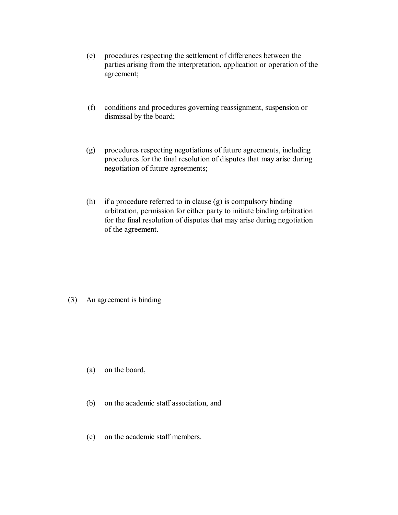- (e) procedures respecting the settlement of differences between the parties arising from the interpretation, application or operation of the agreement;
- (f) conditions and procedures governing reassignment, suspension or dismissal by the board;
- (g) procedures respecting negotiations of future agreements, including procedures for the final resolution of disputes that may arise during negotiation of future agreements;
- (h) if a procedure referred to in clause (g) is compulsory binding arbitration, permission for either party to initiate binding arbitration for the final resolution of disputes that may arise during negotiation of the agreement.

(3) An agreement is binding

- (a) on the board,
- (b) on the academic staff association, and
- (c) on the academic staff members.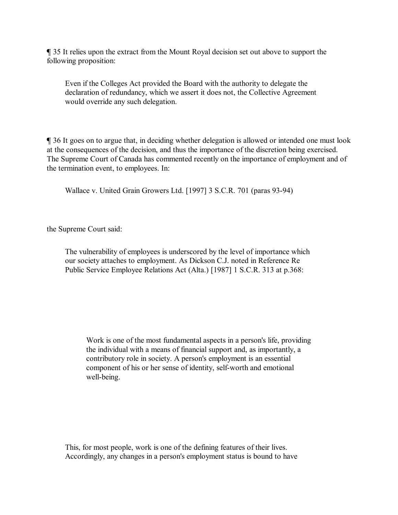**¶** 35 It relies upon the extract from the Mount Royal decision set out above to support the following proposition:

Even if the Colleges Act provided the Board with the authority to delegate the declaration of redundancy, which we assert it does not, the Collective Agreement would override any such delegation.

**¶** 36 It goes on to argue that, in deciding whether delegation is allowed or intended one must look at the consequences of the decision, and thus the importance of the discretion being exercised. The Supreme Court of Canada has commented recently on the importance of employment and of the termination event, to employees. In:

Wallace v. United Grain Growers Ltd. [1997] 3 S.C.R. 701 (paras 93-94)

the Supreme Court said:

The vulnerability of employees is underscored by the level of importance which our society attaches to employment. As Dickson C.J. noted in Reference Re Public Service Employee Relations Act (Alta.) [1987] 1 S.C.R. 313 at p.368:

Work is one of the most fundamental aspects in a person's life, providing the individual with a means of financial support and, as importantly, a contributory role in society. A person's employment is an essential component of his or her sense of identity, self-worth and emotional well-being.

This, for most people, work is one of the defining features of their lives. Accordingly, any changes in a person's employment status is bound to have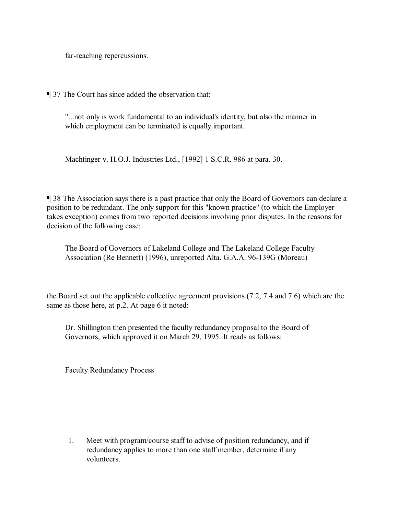far-reaching repercussions.

**¶** 37 The Court has since added the observation that:

"...not only is work fundamental to an individual's identity, but also the manner in which employment can be terminated is equally important.

Machtinger v. H.O.J. Industries Ltd., [1992] 1 S.C.R. 986 at para. 30.

**¶** 38 The Association says there is a past practice that only the Board of Governors can declare a position to be redundant. The only support for this "known practice" (to which the Employer takes exception) comes from two reported decisions involving prior disputes. In the reasons for decision of the following case:

The Board of Governors of Lakeland College and The Lakeland College Faculty Association (Re Bennett) (1996), unreported Alta. G.A.A. 96-139G (Moreau)

the Board set out the applicable collective agreement provisions (7.2, 7.4 and 7.6) which are the same as those here, at p.2. At page 6 it noted:

Dr. Shillington then presented the faculty redundancy proposal to the Board of Governors, which approved it on March 29, 1995. It reads as follows:

Faculty Redundancy Process

1. Meet with program/course staff to advise of position redundancy, and if redundancy applies to more than one staff member, determine if any volunteers.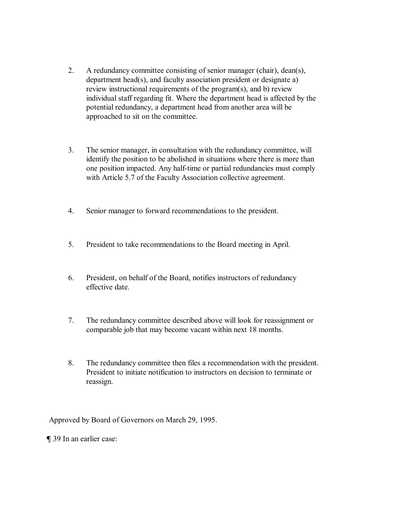- 2. A redundancy committee consisting of senior manager (chair), dean(s), department head(s), and faculty association president or designate a) review instructional requirements of the program(s), and b) review individual staff regarding fit. Where the department head is affected by the potential redundancy, a department head from another area will be approached to sit on the committee.
- 3. The senior manager, in consultation with the redundancy committee, will identify the position to be abolished in situations where there is more than one position impacted. Any half-time or partial redundancies must comply with Article 5.7 of the Faculty Association collective agreement.
- 4. Senior manager to forward recommendations to the president.
- 5. President to take recommendations to the Board meeting in April.
- 6. President, on behalf of the Board, notifies instructors of redundancy effective date.
- 7. The redundancy committee described above will look for reassignment or comparable job that may become vacant within next 18 months.
- 8. The redundancy committee then files a recommendation with the president. President to initiate notification to instructors on decision to terminate or reassign.

Approved by Board of Governors on March 29, 1995.

**¶** 39 In an earlier case: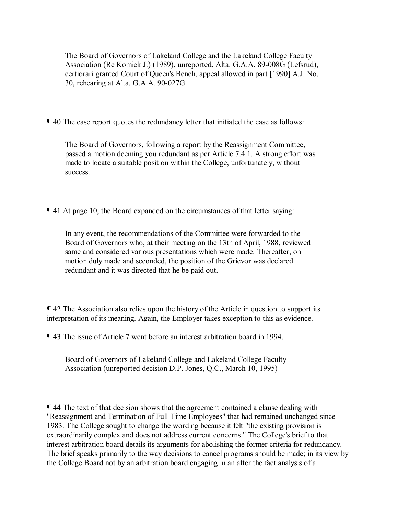The Board of Governors of Lakeland College and the Lakeland College Faculty Association (Re Komick J.) (1989), unreported, Alta. G.A.A. 89-008G (Lefsrud), certiorari granted Court of Queen's Bench, appeal allowed in part [1990] A.J. No. 30, rehearing at Alta. G.A.A. 90-027G.

**¶** 40 The case report quotes the redundancy letter that initiated the case as follows:

The Board of Governors, following a report by the Reassignment Committee, passed a motion deeming you redundant as per Article 7.4.1. A strong effort was made to locate a suitable position within the College, unfortunately, without success.

**¶** 41 At page 10, the Board expanded on the circumstances of that letter saying:

In any event, the recommendations of the Committee were forwarded to the Board of Governors who, at their meeting on the 13th of April, 1988, reviewed same and considered various presentations which were made. Thereafter, on motion duly made and seconded, the position of the Grievor was declared redundant and it was directed that he be paid out.

**¶** 42 The Association also relies upon the history of the Article in question to support its interpretation of its meaning. Again, the Employer takes exception to this as evidence.

**¶** 43 The issue of Article 7 went before an interest arbitration board in 1994.

Board of Governors of Lakeland College and Lakeland College Faculty Association (unreported decision D.P. Jones, Q.C., March 10, 1995)

**¶** 44 The text of that decision shows that the agreement contained a clause dealing with "Reassignment and Termination of Full-Time Employees" that had remained unchanged since 1983. The College sought to change the wording because it felt "the existing provision is extraordinarily complex and does not address current concerns." The College's brief to that interest arbitration board details its arguments for abolishing the former criteria for redundancy. The brief speaks primarily to the way decisions to cancel programs should be made; in its view by the College Board not by an arbitration board engaging in an after the fact analysis of a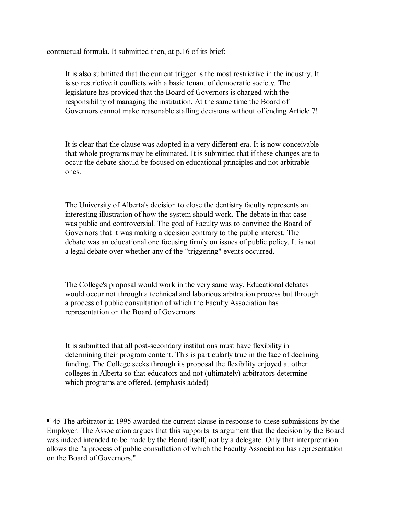contractual formula. It submitted then, at p.16 of its brief:

It is also submitted that the current trigger is the most restrictive in the industry. It is so restrictive it conflicts with a basic tenant of democratic society. The legislature has provided that the Board of Governors is charged with the responsibility of managing the institution. At the same time the Board of Governors cannot make reasonable staffing decisions without offending Article 7!

It is clear that the clause was adopted in a very different era. It is now conceivable that whole programs may be eliminated. It is submitted that if these changes are to occur the debate should be focused on educational principles and not arbitrable ones.

The University of Alberta's decision to close the dentistry faculty represents an interesting illustration of how the system should work. The debate in that case was public and controversial. The goal of Faculty was to convince the Board of Governors that it was making a decision contrary to the public interest. The debate was an educational one focusing firmly on issues of public policy. It is not a legal debate over whether any of the "triggering" events occurred.

The College's proposal would work in the very same way. Educational debates would occur not through a technical and laborious arbitration process but through a process of public consultation of which the Faculty Association has representation on the Board of Governors.

It is submitted that all post-secondary institutions must have flexibility in determining their program content. This is particularly true in the face of declining funding. The College seeks through its proposal the flexibility enjoyed at other colleges in Alberta so that educators and not (ultimately) arbitrators determine which programs are offered. (emphasis added)

**¶** 45 The arbitrator in 1995 awarded the current clause in response to these submissions by the Employer. The Association argues that this supports its argument that the decision by the Board was indeed intended to be made by the Board itself, not by a delegate. Only that interpretation allows the "a process of public consultation of which the Faculty Association has representation on the Board of Governors."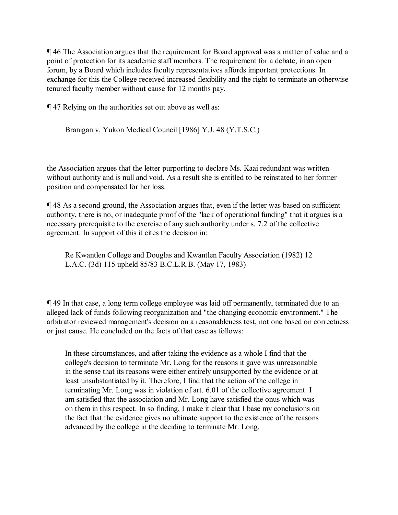**¶** 46 The Association argues that the requirement for Board approval was a matter of value and a point of protection for its academic staff members. The requirement for a debate, in an open forum, by a Board which includes faculty representatives affords important protections. In exchange for this the College received increased flexibility and the right to terminate an otherwise tenured faculty member without cause for 12 months pay.

**¶** 47 Relying on the authorities set out above as well as:

Branigan v. Yukon Medical Council [1986] Y.J. 48 (Y.T.S.C.)

the Association argues that the letter purporting to declare Ms. Kaai redundant was written without authority and is null and void. As a result she is entitled to be reinstated to her former position and compensated for her loss.

**¶** 48 As a second ground, the Association argues that, even if the letter was based on sufficient authority, there is no, or inadequate proof of the "lack of operational funding" that it argues is a necessary prerequisite to the exercise of any such authority under s. 7.2 of the collective agreement. In support of this it cites the decision in:

Re Kwantlen College and Douglas and Kwantlen Faculty Association (1982) 12 L.A.C. (3d) 115 upheld 85/83 B.C.L.R.B. (May 17, 1983)

**¶** 49 In that case, a long term college employee was laid off permanently, terminated due to an alleged lack of funds following reorganization and "the changing economic environment." The arbitrator reviewed management's decision on a reasonableness test, not one based on correctness or just cause. He concluded on the facts of that case as follows:

In these circumstances, and after taking the evidence as a whole I find that the college's decision to terminate Mr. Long for the reasons it gave was unreasonable in the sense that its reasons were either entirely unsupported by the evidence or at least unsubstantiated by it. Therefore, I find that the action of the college in terminating Mr. Long was in violation of art. 6.01 of the collective agreement. I am satisfied that the association and Mr. Long have satisfied the onus which was on them in this respect. In so finding, I make it clear that I base my conclusions on the fact that the evidence gives no ultimate support to the existence of the reasons advanced by the college in the deciding to terminate Mr. Long.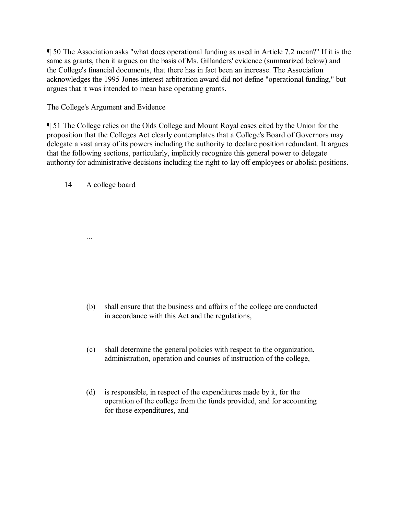**¶** 50 The Association asks "what does operational funding as used in Article 7.2 mean?" If it is the same as grants, then it argues on the basis of Ms. Gillanders' evidence (summarized below) and the College's financial documents, that there has in fact been an increase. The Association acknowledges the 1995 Jones interest arbitration award did not define "operational funding," but argues that it was intended to mean base operating grants.

The College's Argument and Evidence

**¶** 51 The College relies on the Olds College and Mount Royal cases cited by the Union for the proposition that the Colleges Act clearly contemplates that a College's Board of Governors may delegate a vast array of its powers including the authority to declare position redundant. It argues that the following sections, particularly, implicitly recognize this general power to delegate authority for administrative decisions including the right to lay off employees or abolish positions.

14 A college board

...

- (b) shall ensure that the business and affairs of the college are conducted in accordance with this Act and the regulations,
- (c) shall determine the general policies with respect to the organization, administration, operation and courses of instruction of the college,
- (d) is responsible, in respect of the expenditures made by it, for the operation of the college from the funds provided, and for accounting for those expenditures, and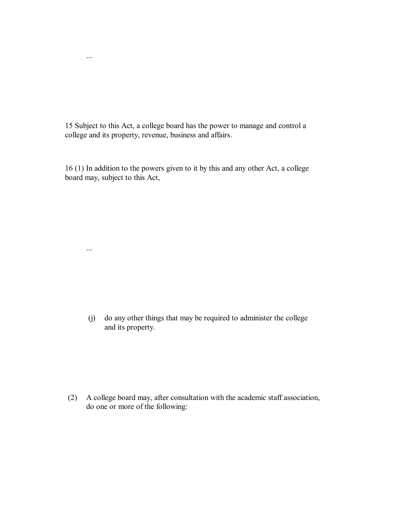15 Subject to this Act, a college board has the power to manage and control a college and its property, revenue, business and affairs.

...

...

16 (1) In addition to the powers given to it by this and any other Act, a college board may, subject to this Act,

(j) do any other things that may be required to administer the college and its property.

(2) A college board may, after consultation with the academic staff association, do one or more of the following: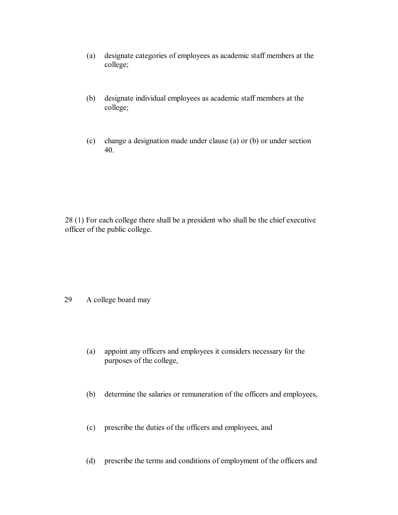- (a) designate categories of employees as academic staff members at the college;
- (b) designate individual employees as academic staff members at the college;
- (c) change a designation made under clause (a) or (b) or under section 40.

28 (1) For each college there shall be a president who shall be the chief executive officer of the public college.

- 29 A college board may
	- (a) appoint any officers and employees it considers necessary for the purposes of the college,
	- (b) determine the salaries or remuneration of the officers and employees,
	- (c) prescribe the duties of the officers and employees, and
	- (d) prescribe the terms and conditions of employment of the officers and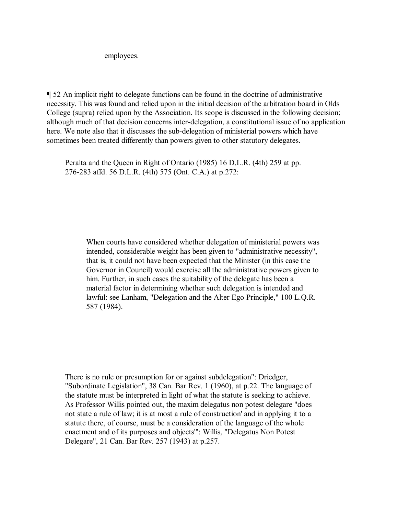employees.

**¶** 52 An implicit right to delegate functions can be found in the doctrine of administrative necessity. This was found and relied upon in the initial decision of the arbitration board in Olds College (supra) relied upon by the Association. Its scope is discussed in the following decision; although much of that decision concerns inter-delegation, a constitutional issue of no application here. We note also that it discusses the sub-delegation of ministerial powers which have sometimes been treated differently than powers given to other statutory delegates.

Peralta and the Queen in Right of Ontario (1985) 16 D.L.R. (4th) 259 at pp. 276-283 affd. 56 D.L.R. (4th) 575 (Ont. C.A.) at p.272:

When courts have considered whether delegation of ministerial powers was intended, considerable weight has been given to "administrative necessity", that is, it could not have been expected that the Minister (in this case the Governor in Council) would exercise all the administrative powers given to him. Further, in such cases the suitability of the delegate has been a material factor in determining whether such delegation is intended and lawful: see Lanham, "Delegation and the Alter Ego Principle," 100 L.Q.R. 587 (1984).

There is no rule or presumption for or against subdelegation": Driedger, "Subordinate Legislation", 38 Can. Bar Rev. 1 (1960), at p.22. The language of the statute must be interpreted in light of what the statute is seeking to achieve. As Professor Willis pointed out, the maxim delegatus non potest delegare "does not state a rule of law; it is at most a rule of construction' and in applying it to a statute there, of course, must be a consideration of the language of the whole enactment and of its purposes and objects'": Willis, "Delegatus Non Potest Delegare", 21 Can. Bar Rev. 257 (1943) at p.257.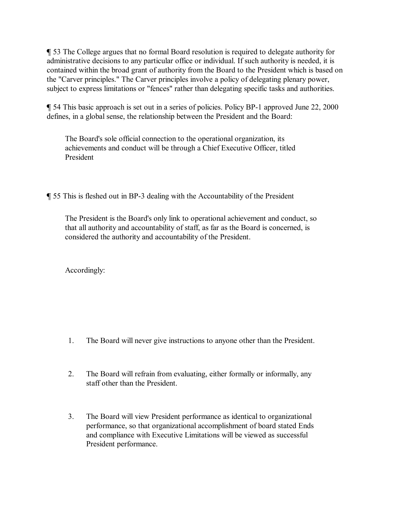**¶** 53 The College argues that no formal Board resolution is required to delegate authority for administrative decisions to any particular office or individual. If such authority is needed, it is contained within the broad grant of authority from the Board to the President which is based on the "Carver principles." The Carver principles involve a policy of delegating plenary power, subject to express limitations or "fences" rather than delegating specific tasks and authorities.

**¶** 54 This basic approach is set out in a series of policies. Policy BP-1 approved June 22, 2000 defines, in a global sense, the relationship between the President and the Board:

The Board's sole official connection to the operational organization, its achievements and conduct will be through a Chief Executive Officer, titled President

**¶** 55 This is fleshed out in BP-3 dealing with the Accountability of the President

The President is the Board's only link to operational achievement and conduct, so that all authority and accountability of staff, as far as the Board is concerned, is considered the authority and accountability of the President.

Accordingly:

- 1. The Board will never give instructions to anyone other than the President.
- 2. The Board will refrain from evaluating, either formally or informally, any staff other than the President.
- 3. The Board will view President performance as identical to organizational performance, so that organizational accomplishment of board stated Ends and compliance with Executive Limitations will be viewed as successful President performance.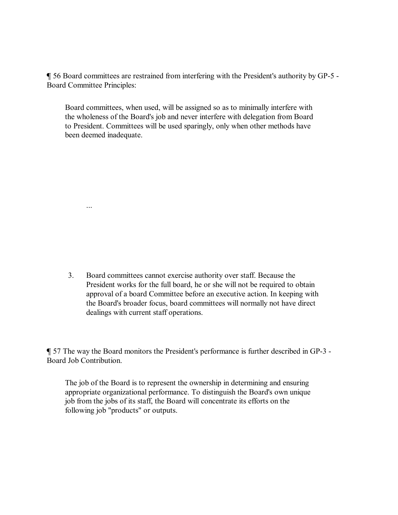**¶** 56 Board committees are restrained from interfering with the President's authority by GP-5 - Board Committee Principles:

Board committees, when used, will be assigned so as to minimally interfere with the wholeness of the Board's job and never interfere with delegation from Board to President. Committees will be used sparingly, only when other methods have been deemed inadequate.

...

3. Board committees cannot exercise authority over staff. Because the President works for the full board, he or she will not be required to obtain approval of a board Committee before an executive action. In keeping with the Board's broader focus, board committees will normally not have direct dealings with current staff operations.

**¶** 57 The way the Board monitors the President's performance is further described in GP-3 - Board Job Contribution.

The job of the Board is to represent the ownership in determining and ensuring appropriate organizational performance. To distinguish the Board's own unique job from the jobs of its staff, the Board will concentrate its efforts on the following job "products" or outputs.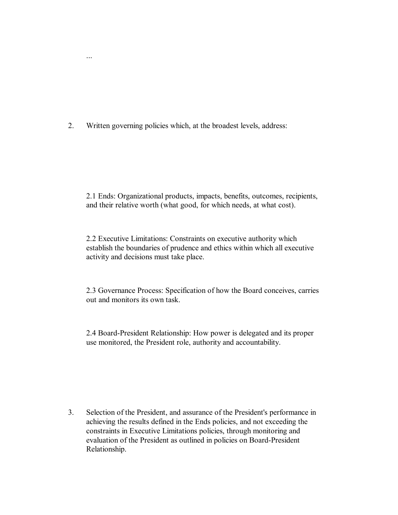2. Written governing policies which, at the broadest levels, address:

...

2.1 Ends: Organizational products, impacts, benefits, outcomes, recipients, and their relative worth (what good, for which needs, at what cost).

2.2 Executive Limitations: Constraints on executive authority which establish the boundaries of prudence and ethics within which all executive activity and decisions must take place.

2.3 Governance Process: Specification of how the Board conceives, carries out and monitors its own task.

2.4 Board-President Relationship: How power is delegated and its proper use monitored, the President role, authority and accountability.

3. Selection of the President, and assurance of the President's performance in achieving the results defined in the Ends policies, and not exceeding the constraints in Executive Limitations policies, through monitoring and evaluation of the President as outlined in policies on Board-President Relationship.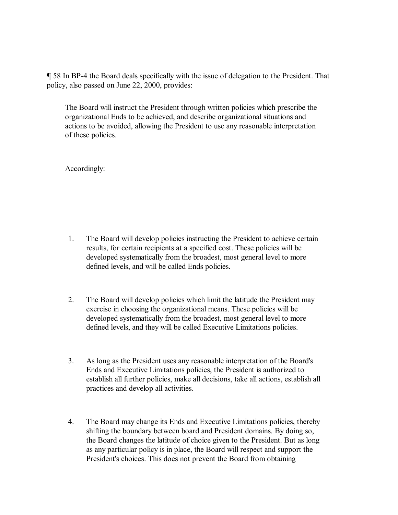**¶** 58 In BP-4 the Board deals specifically with the issue of delegation to the President. That policy, also passed on June 22, 2000, provides:

The Board will instruct the President through written policies which prescribe the organizational Ends to be achieved, and describe organizational situations and actions to be avoided, allowing the President to use any reasonable interpretation of these policies.

Accordingly:

- 1. The Board will develop policies instructing the President to achieve certain results, for certain recipients at a specified cost. These policies will be developed systematically from the broadest, most general level to more defined levels, and will be called Ends policies.
- 2. The Board will develop policies which limit the latitude the President may exercise in choosing the organizational means. These policies will be developed systematically from the broadest, most general level to more defined levels, and they will be called Executive Limitations policies.
- 3. As long as the President uses any reasonable interpretation of the Board's Ends and Executive Limitations policies, the President is authorized to establish all further policies, make all decisions, take all actions, establish all practices and develop all activities.
- 4. The Board may change its Ends and Executive Limitations policies, thereby shifting the boundary between board and President domains. By doing so, the Board changes the latitude of choice given to the President. But as long as any particular policy is in place, the Board will respect and support the President's choices. This does not prevent the Board from obtaining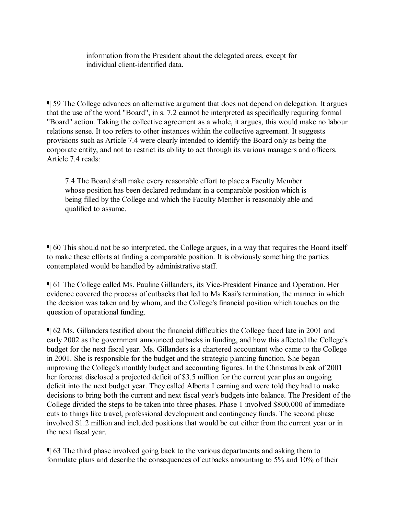information from the President about the delegated areas, except for individual client-identified data.

**¶** 59 The College advances an alternative argument that does not depend on delegation. It argues that the use of the word "Board", in s. 7.2 cannot be interpreted as specifically requiring formal "Board" action. Taking the collective agreement as a whole, it argues, this would make no labour relations sense. It too refers to other instances within the collective agreement. It suggests provisions such as Article 7.4 were clearly intended to identify the Board only as being the corporate entity, and not to restrict its ability to act through its various managers and officers. Article 7.4 reads:

7.4 The Board shall make every reasonable effort to place a Faculty Member whose position has been declared redundant in a comparable position which is being filled by the College and which the Faculty Member is reasonably able and qualified to assume.

**¶** 60 This should not be so interpreted, the College argues, in a way that requires the Board itself to make these efforts at finding a comparable position. It is obviously something the parties contemplated would be handled by administrative staff.

**¶** 61 The College called Ms. Pauline Gillanders, its Vice-President Finance and Operation. Her evidence covered the process of cutbacks that led to Ms Kaai's termination, the manner in which the decision was taken and by whom, and the College's financial position which touches on the question of operational funding.

**¶** 62 Ms. Gillanders testified about the financial difficulties the College faced late in 2001 and early 2002 as the government announced cutbacks in funding, and how this affected the College's budget for the next fiscal year. Ms. Gillanders is a chartered accountant who came to the College in 2001. She is responsible for the budget and the strategic planning function. She began improving the College's monthly budget and accounting figures. In the Christmas break of 2001 her forecast disclosed a projected deficit of \$3.5 million for the current year plus an ongoing deficit into the next budget year. They called Alberta Learning and were told they had to make decisions to bring both the current and next fiscal year's budgets into balance. The President of the College divided the steps to be taken into three phases. Phase 1 involved \$800,000 of immediate cuts to things like travel, professional development and contingency funds. The second phase involved \$1.2 million and included positions that would be cut either from the current year or in the next fiscal year.

**¶** 63 The third phase involved going back to the various departments and asking them to formulate plans and describe the consequences of cutbacks amounting to 5% and 10% of their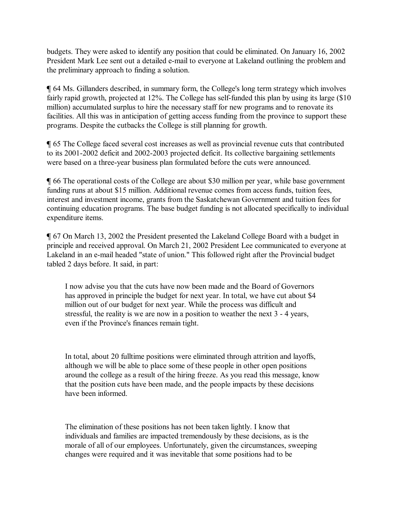budgets. They were asked to identify any position that could be eliminated. On January 16, 2002 President Mark Lee sent out a detailed e-mail to everyone at Lakeland outlining the problem and the preliminary approach to finding a solution.

**¶** 64 Ms. Gillanders described, in summary form, the College's long term strategy which involves fairly rapid growth, projected at 12%. The College has self-funded this plan by using its large (\$10) million) accumulated surplus to hire the necessary staff for new programs and to renovate its facilities. All this was in anticipation of getting access funding from the province to support these programs. Despite the cutbacks the College is still planning for growth.

**¶** 65 The College faced several cost increases as well as provincial revenue cuts that contributed to its 2001-2002 deficit and 2002-2003 projected deficit. Its collective bargaining settlements were based on a three-year business plan formulated before the cuts were announced.

**¶** 66 The operational costs of the College are about \$30 million per year, while base government funding runs at about \$15 million. Additional revenue comes from access funds, tuition fees, interest and investment income, grants from the Saskatchewan Government and tuition fees for continuing education programs. The base budget funding is not allocated specifically to individual expenditure items.

**¶** 67 On March 13, 2002 the President presented the Lakeland College Board with a budget in principle and received approval. On March 21, 2002 President Lee communicated to everyone at Lakeland in an e-mail headed "state of union." This followed right after the Provincial budget tabled 2 days before. It said, in part:

I now advise you that the cuts have now been made and the Board of Governors has approved in principle the budget for next year. In total, we have cut about \$4 million out of our budget for next year. While the process was difficult and stressful, the reality is we are now in a position to weather the next 3 - 4 years, even if the Province's finances remain tight.

In total, about 20 fulltime positions were eliminated through attrition and layoffs, although we will be able to place some of these people in other open positions around the college as a result of the hiring freeze. As you read this message, know that the position cuts have been made, and the people impacts by these decisions have been informed.

The elimination of these positions has not been taken lightly. I know that individuals and families are impacted tremendously by these decisions, as is the morale of all of our employees. Unfortunately, given the circumstances, sweeping changes were required and it was inevitable that some positions had to be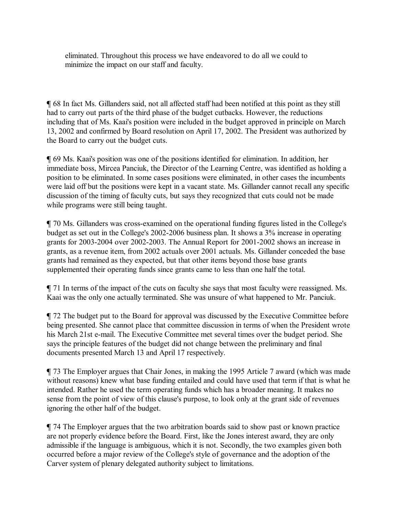eliminated. Throughout this process we have endeavored to do all we could to minimize the impact on our staff and faculty.

**¶** 68 In fact Ms. Gillanders said, not all affected staff had been notified at this point as they still had to carry out parts of the third phase of the budget cutbacks. However, the reductions including that of Ms. Kaai's position were included in the budget approved in principle on March 13, 2002 and confirmed by Board resolution on April 17, 2002. The President was authorized by the Board to carry out the budget cuts.

**¶** 69 Ms. Kaai's position was one of the positions identified for elimination. In addition, her immediate boss, Mircea Panciuk, the Director of the Learning Centre, was identified as holding a position to be eliminated. In some cases positions were eliminated, in other cases the incumbents were laid off but the positions were kept in a vacant state. Ms. Gillander cannot recall any specific discussion of the timing of faculty cuts, but says they recognized that cuts could not be made while programs were still being taught.

**¶** 70 Ms. Gillanders was cross-examined on the operational funding figures listed in the College's budget as set out in the College's 2002-2006 business plan. It shows a 3% increase in operating grants for 2003-2004 over 2002-2003. The Annual Report for 2001-2002 shows an increase in grants, as a revenue item, from 2002 actuals over 2001 actuals. Ms. Gillander conceded the base grants had remained as they expected, but that other items beyond those base grants supplemented their operating funds since grants came to less than one half the total.

**¶** 71 In terms of the impact of the cuts on faculty she says that most faculty were reassigned. Ms. Kaai was the only one actually terminated. She was unsure of what happened to Mr. Panciuk.

**¶** 72 The budget put to the Board for approval was discussed by the Executive Committee before being presented. She cannot place that committee discussion in terms of when the President wrote his March 21st e-mail. The Executive Committee met several times over the budget period. She says the principle features of the budget did not change between the preliminary and final documents presented March 13 and April 17 respectively.

**¶** 73 The Employer argues that Chair Jones, in making the 1995 Article 7 award (which was made without reasons) knew what base funding entailed and could have used that term if that is what he intended. Rather he used the term operating funds which has a broader meaning. It makes no sense from the point of view of this clause's purpose, to look only at the grant side of revenues ignoring the other half of the budget.

**¶** 74 The Employer argues that the two arbitration boards said to show past or known practice are not properly evidence before the Board. First, like the Jones interest award, they are only admissible if the language is ambiguous, which it is not. Secondly, the two examples given both occurred before a major review of the College's style of governance and the adoption of the Carver system of plenary delegated authority subject to limitations.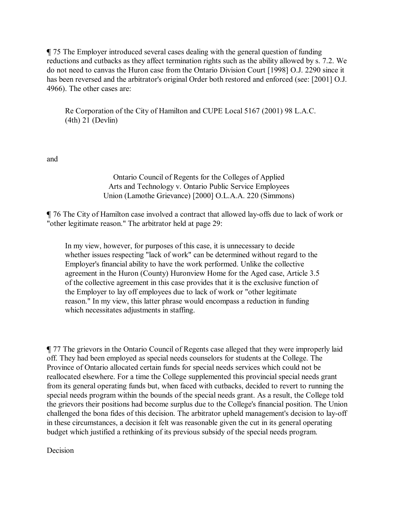**¶** 75 The Employer introduced several cases dealing with the general question of funding reductions and cutbacks as they affect termination rights such as the ability allowed by s. 7.2. We do not need to canvas the Huron case from the Ontario Division Court [1998] O.J. 2290 since it has been reversed and the arbitrator's original Order both restored and enforced (see: [2001] O.J. 4966). The other cases are:

Re Corporation of the City of Hamilton and CUPE Local 5167 (2001) 98 L.A.C. (4th) 21 (Devlin)

and

Ontario Council of Regents for the Colleges of Applied Arts and Technology v. Ontario Public Service Employees Union (Lamothe Grievance) [2000] O.L.A.A. 220 (Simmons)

**¶** 76 The City of Hamilton case involved a contract that allowed lay-offs due to lack of work or "other legitimate reason." The arbitrator held at page 29:

In my view, however, for purposes of this case, it is unnecessary to decide whether issues respecting "lack of work" can be determined without regard to the Employer's financial ability to have the work performed. Unlike the collective agreement in the Huron (County) Huronview Home for the Aged case, Article 3.5 of the collective agreement in this case provides that it is the exclusive function of the Employer to lay off employees due to lack of work or "other legitimate reason." In my view, this latter phrase would encompass a reduction in funding which necessitates adjustments in staffing.

**¶** 77 The grievors in the Ontario Council of Regents case alleged that they were improperly laid off. They had been employed as special needs counselors for students at the College. The Province of Ontario allocated certain funds for special needs services which could not be reallocated elsewhere. For a time the College supplemented this provincial special needs grant from its general operating funds but, when faced with cutbacks, decided to revert to running the special needs program within the bounds of the special needs grant. As a result, the College told the grievors their positions had become surplus due to the College's financial position. The Union challenged the bona fides of this decision. The arbitrator upheld management's decision to lay-off in these circumstances, a decision it felt was reasonable given the cut in its general operating budget which justified a rethinking of its previous subsidy of the special needs program.

Decision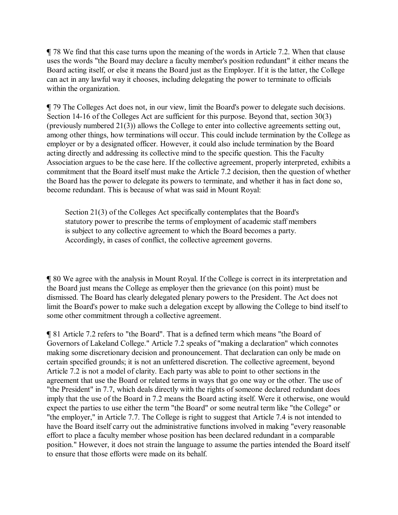**¶** 78 We find that this case turns upon the meaning of the words in Article 7.2. When that clause uses the words "the Board may declare a faculty member's position redundant" it either means the Board acting itself, or else it means the Board just as the Employer. If it is the latter, the College can act in any lawful way it chooses, including delegating the power to terminate to officials within the organization.

**¶** 79 The Colleges Act does not, in our view, limit the Board's power to delegate such decisions. Section 14-16 of the Colleges Act are sufficient for this purpose. Beyond that, section 30(3) (previously numbered 21(3)) allows the College to enter into collective agreements setting out, among other things, how terminations will occur. This could include termination by the College as employer or by a designated officer. However, it could also include termination by the Board acting directly and addressing its collective mind to the specific question. This the Faculty Association argues to be the case here. If the collective agreement, properly interpreted, exhibits a commitment that the Board itself must make the Article 7.2 decision, then the question of whether the Board has the power to delegate its powers to terminate, and whether it has in fact done so, become redundant. This is because of what was said in Mount Royal:

Section 21(3) of the Colleges Act specifically contemplates that the Board's statutory power to prescribe the terms of employment of academic staff members is subject to any collective agreement to which the Board becomes a party. Accordingly, in cases of conflict, the collective agreement governs.

**¶** 80 We agree with the analysis in Mount Royal. If the College is correct in its interpretation and the Board just means the College as employer then the grievance (on this point) must be dismissed. The Board has clearly delegated plenary powers to the President. The Act does not limit the Board's power to make such a delegation except by allowing the College to bind itself to some other commitment through a collective agreement.

**¶** 81 Article 7.2 refers to "the Board". That is a defined term which means "the Board of Governors of Lakeland College." Article 7.2 speaks of "making a declaration" which connotes making some discretionary decision and pronouncement. That declaration can only be made on certain specified grounds; it is not an unfettered discretion. The collective agreement, beyond Article 7.2 is not a model of clarity. Each party was able to point to other sections in the agreement that use the Board or related terms in ways that go one way or the other. The use of "the President" in 7.7, which deals directly with the rights of someone declared redundant does imply that the use of the Board in 7.2 means the Board acting itself. Were it otherwise, one would expect the parties to use either the term "the Board" or some neutral term like "the College" or "the employer," in Article 7.7. The College is right to suggest that Article 7.4 is not intended to have the Board itself carry out the administrative functions involved in making "every reasonable effort to place a faculty member whose position has been declared redundant in a comparable position." However, it does not strain the language to assume the parties intended the Board itself to ensure that those efforts were made on its behalf.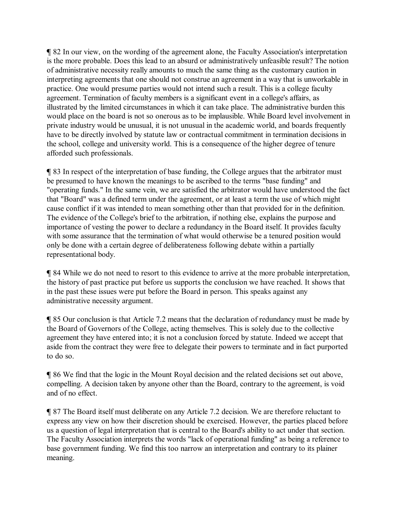**¶** 82 In our view, on the wording of the agreement alone, the Faculty Association's interpretation is the more probable. Does this lead to an absurd or administratively unfeasible result? The notion of administrative necessity really amounts to much the same thing as the customary caution in interpreting agreements that one should not construe an agreement in a way that is unworkable in practice. One would presume parties would not intend such a result. This is a college faculty agreement. Termination of faculty members is a significant event in a college's affairs, as illustrated by the limited circumstances in which it can take place. The administrative burden this would place on the board is not so onerous as to be implausible. While Board level involvement in private industry would be unusual, it is not unusual in the academic world, and boards frequently have to be directly involved by statute law or contractual commitment in termination decisions in the school, college and university world. This is a consequence of the higher degree of tenure afforded such professionals.

**¶** 83 In respect of the interpretation of base funding, the College argues that the arbitrator must be presumed to have known the meanings to be ascribed to the terms "base funding" and "operating funds." In the same vein, we are satisfied the arbitrator would have understood the fact that "Board" was a defined term under the agreement, or at least a term the use of which might cause conflict if it was intended to mean something other than that provided for in the definition. The evidence of the College's brief to the arbitration, if nothing else, explains the purpose and importance of vesting the power to declare a redundancy in the Board itself. It provides faculty with some assurance that the termination of what would otherwise be a tenured position would only be done with a certain degree of deliberateness following debate within a partially representational body.

**¶** 84 While we do not need to resort to this evidence to arrive at the more probable interpretation, the history of past practice put before us supports the conclusion we have reached. It shows that in the past these issues were put before the Board in person. This speaks against any administrative necessity argument.

**¶** 85 Our conclusion is that Article 7.2 means that the declaration of redundancy must be made by the Board of Governors of the College, acting themselves. This is solely due to the collective agreement they have entered into; it is not a conclusion forced by statute. Indeed we accept that aside from the contract they were free to delegate their powers to terminate and in fact purported to do so.

**¶** 86 We find that the logic in the Mount Royal decision and the related decisions set out above, compelling. A decision taken by anyone other than the Board, contrary to the agreement, is void and of no effect.

**¶** 87 The Board itself must deliberate on any Article 7.2 decision. We are therefore reluctant to express any view on how their discretion should be exercised. However, the parties placed before us a question of legal interpretation that is central to the Board's ability to act under that section. The Faculty Association interprets the words "lack of operational funding" as being a reference to base government funding. We find this too narrow an interpretation and contrary to its plainer meaning.